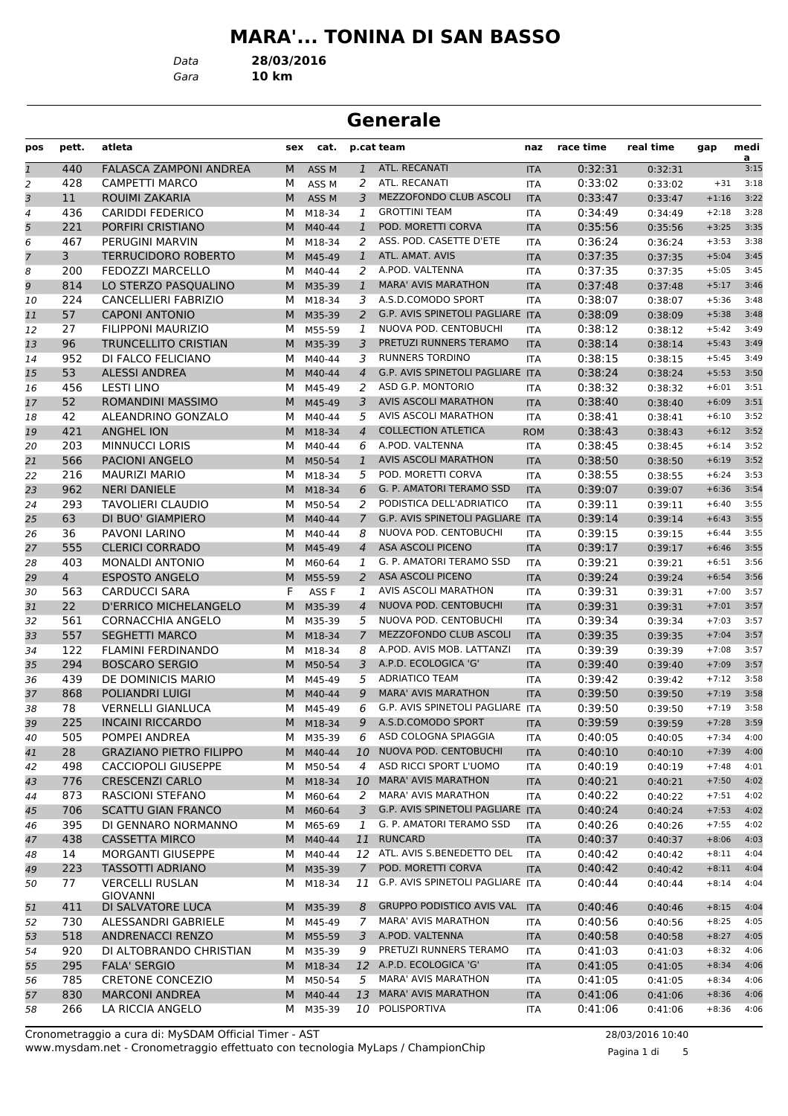# **MARA'... TONINA DI SAN BASSO**

*Data* **28/03/2016**

*Gara* **10 km**

## **Generale**

| pos            | pett.          | atleta                                            | sex | cat.             |                | p.cat team                                                     | naz        | race time | real time | gap     | medi<br>a    |
|----------------|----------------|---------------------------------------------------|-----|------------------|----------------|----------------------------------------------------------------|------------|-----------|-----------|---------|--------------|
| $\mathfrak 1$  | 440            | <b>FALASCA ZAMPONI ANDREA</b>                     | M   | ASS <sub>M</sub> | $\mathbf{1}$   | ATL. RECANATI                                                  | <b>ITA</b> | 0:32:31   | 0:32:31   |         | 3:15         |
| 2              | 428            | <b>CAMPETTI MARCO</b>                             | м   | ASS <sub>M</sub> | 2              | ATL. RECANATI                                                  | <b>ITA</b> | 0:33:02   | 0:33:02   | $+31$   | 3:18         |
| 3              | 11             | ROUIMI ZAKARIA                                    | M   | ASS <sub>M</sub> | 3              | MEZZOFONDO CLUB ASCOLI                                         | <b>ITA</b> | 0:33:47   | 0:33:47   | $+1:16$ | 3:22         |
| $\overline{a}$ | 436            | <b>CARIDDI FEDERICO</b>                           | м   | M18-34           | $\mathbf{1}$   | <b>GROTTINI TEAM</b>                                           | ITA        | 0:34:49   | 0:34:49   | $+2:18$ | 3:28         |
| 5              | 221            | PORFIRI CRISTIANO                                 | M   | M40-44           | $\mathbf{1}$   | POD. MORETTI CORVA                                             | <b>ITA</b> | 0:35:56   | 0:35:56   | $+3:25$ | 3:35         |
| 6              | 467            | PERUGINI MARVIN                                   | м   | M18-34           | 2              | ASS. POD. CASETTE D'ETE                                        | <b>ITA</b> | 0:36:24   | 0:36:24   | $+3:53$ | 3:38         |
| $\overline{7}$ | 3              | <b>TERRUCIDORO ROBERTO</b>                        | M   | M45-49           | $\mathbf{1}$   | ATL. AMAT. AVIS                                                | <b>ITA</b> | 0:37:35   | 0:37:35   | $+5:04$ | 3:45         |
| 8              | 200            | <b>FEDOZZI MARCELLO</b>                           | м   | M40-44           | 2              | A.POD. VALTENNA                                                | <b>ITA</b> | 0:37:35   | 0:37:35   | $+5:05$ | 3:45         |
| 9              | 814            | LO STERZO PASQUALINO                              | M   | M35-39           | $\mathbf{1}$   | <b>MARA' AVIS MARATHON</b>                                     | <b>ITA</b> | 0:37:48   | 0:37:48   | $+5:17$ | 3:46         |
| 10             | 224            | <b>CANCELLIERI FABRIZIO</b>                       | м   | M18-34           | 3              | A.S.D.COMODO SPORT                                             | ITA        | 0:38:07   | 0:38:07   | $+5:36$ | 3:48         |
| 11             | 57             | <b>CAPONI ANTONIO</b>                             | M   | M35-39           | 2              | G.P. AVIS SPINETOLI PAGLIARE ITA                               |            | 0:38:09   | 0:38:09   | $+5:38$ | 3:48         |
| 12             | 27             | FILIPPONI MAURIZIO                                | М   | M55-59           | 1              | NUOVA POD. CENTOBUCHI                                          | <b>ITA</b> | 0:38:12   | 0:38:12   | $+5:42$ | 3:49         |
| 13             | 96             | <b>TRUNCELLITO CRISTIAN</b>                       | M   | M35-39           | 3              | PRETUZI RUNNERS TERAMO                                         | <b>ITA</b> | 0:38:14   | 0:38:14   | $+5:43$ | 3:49         |
| 14             | 952            | DI FALCO FELICIANO                                | м   | M40-44           | 3              | <b>RUNNERS TORDINO</b>                                         | <b>ITA</b> | 0:38:15   | 0:38:15   | $+5:45$ | 3:49         |
| 15             | 53             | <b>ALESSI ANDREA</b>                              | M   | M40-44           | $\overline{4}$ | G.P. AVIS SPINETOLI PAGLIARE ITA                               |            | 0:38:24   | 0:38:24   | $+5:53$ | 3:50         |
| 16             | 456            | <b>LESTI LINO</b>                                 | м   | M45-49           | 2              | ASD G.P. MONTORIO                                              | <b>ITA</b> | 0:38:32   | 0:38:32   | $+6:01$ | 3:51         |
| 17             | 52             | <b>ROMANDINI MASSIMO</b>                          | M   | M45-49           | 3              | <b>AVIS ASCOLI MARATHON</b>                                    | <b>ITA</b> | 0:38:40   | 0:38:40   | $+6:09$ | 3:51         |
| 18             | 42             | ALEANDRINO GONZALO                                | м   | M40-44           | 5              | AVIS ASCOLI MARATHON                                           | ITA        | 0:38:41   | 0:38:41   | $+6:10$ | 3:52         |
| 19             | 421            | <b>ANGHEL ION</b>                                 | M   | M18-34           | $\overline{4}$ | <b>COLLECTION ATLETICA</b>                                     | <b>ROM</b> | 0:38:43   | 0:38:43   | $+6:12$ | 3:52         |
| 20             | 203            | <b>MINNUCCI LORIS</b>                             | м   | M40-44           | 6              | A.POD. VALTENNA                                                | <b>ITA</b> | 0:38:45   | 0:38:45   | $+6:14$ | 3:52         |
| 21             | 566            | <b>PACIONI ANGELO</b>                             | M   | M50-54           | $\mathbf{1}$   | AVIS ASCOLI MARATHON                                           | <b>ITA</b> | 0:38:50   | 0:38:50   | $+6:19$ | 3:52         |
| 22             | 216            | <b>MAURIZI MARIO</b>                              | м   | M18-34           | 5              | POD. MORETTI CORVA                                             | ITA        | 0:38:55   | 0:38:55   | $+6:24$ | 3:53         |
| 23             | 962            | <b>NERI DANIELE</b>                               | M   | M18-34           | 6              | G. P. AMATORI TERAMO SSD                                       | <b>ITA</b> | 0:39:07   | 0:39:07   | $+6:36$ | 3:54         |
| 24             | 293            | <b>TAVOLIERI CLAUDIO</b>                          | М   | M50-54           | 2              | PODISTICA DELL'ADRIATICO                                       | <b>ITA</b> | 0:39:11   | 0:39:11   | $+6:40$ | 3:55         |
| 25             | 63             | DI BUO' GIAMPIERO                                 | M   | M40-44           | $\overline{7}$ | <b>G.P. AVIS SPINETOLI PAGLIARE ITA</b>                        |            | 0:39:14   | 0:39:14   | $+6:43$ | 3:55         |
| 26             | 36             | PAVONI LARINO                                     | м   | M40-44           | 8              | NUOVA POD. CENTOBUCHI                                          | <b>ITA</b> | 0:39:15   | 0:39:15   | $+6:44$ | 3:55         |
| 27             | 555            | <b>CLERICI CORRADO</b>                            | M   | M45-49           | $\overline{4}$ | ASA ASCOLI PICENO                                              | <b>ITA</b> | 0:39:17   | 0:39:17   | $+6:46$ | 3:55         |
| 28             | 403            | <b>MONALDI ANTONIO</b>                            | м   | M60-64           | 1              | G. P. AMATORI TERAMO SSD                                       | ITA        | 0:39:21   | 0:39:21   | $+6:51$ | 3:56         |
| 29             | $\overline{4}$ | <b>ESPOSTO ANGELO</b>                             | M   | M55-59           | 2              | <b>ASA ASCOLI PICENO</b>                                       | <b>ITA</b> | 0:39:24   | 0:39:24   | $+6:54$ | 3:56         |
| 30             | 563            | <b>CARDUCCI SARA</b>                              | F   | ASS F            | 1              | AVIS ASCOLI MARATHON                                           | <b>ITA</b> | 0:39:31   | 0:39:31   | $+7:00$ | 3:57         |
| 31             | 22             | <b>D'ERRICO MICHELANGELO</b>                      | M   | M35-39           | $\overline{4}$ | NUOVA POD. CENTOBUCHI                                          | <b>ITA</b> | 0:39:31   | 0:39:31   | $+7:01$ | 3:57         |
| 32             | 561            | <b>CORNACCHIA ANGELO</b>                          | м   | M35-39           | 5              | NUOVA POD. CENTOBUCHI                                          | <b>ITA</b> | 0:39:34   | 0:39:34   | $+7:03$ | 3:57         |
| 33             | 557            | <b>SEGHETTI MARCO</b>                             | M   | M18-34           | $\overline{7}$ | MEZZOFONDO CLUB ASCOLI                                         | <b>ITA</b> | 0:39:35   | 0:39:35   | $+7:04$ | 3:57         |
| 34             | 122            | <b>FLAMINI FERDINANDO</b>                         | м   | M18-34           | 8              | A.POD. AVIS MOB. LATTANZI                                      | ITA        | 0:39:39   | 0:39:39   | $+7:08$ | 3:57         |
| 35             | 294            | <b>BOSCARO SERGIO</b>                             | M   | M50-54           | 3              | A.P.D. ECOLOGICA 'G'                                           | <b>ITA</b> | 0:39:40   | 0:39:40   | $+7:09$ | 3:57         |
| 36             | 439            | DE DOMINICIS MARIO                                | М   | M45-49           | 5              | <b>ADRIATICO TEAM</b>                                          | <b>ITA</b> | 0:39:42   | 0:39:42   | $+7:12$ | 3:58         |
| 37             | 868            | <b>POLIANDRI LUIGI</b>                            | M   | M40-44           | 9              | <b>MARA' AVIS MARATHON</b>                                     | <b>ITA</b> | 0:39:50   | 0:39:50   | $+7:19$ | 3:58         |
| 38             | 78             | <b>VERNELLI GIANLUCA</b>                          | м   | M45-49           | 6              | G.P. AVIS SPINETOLI PAGLIARE ITA                               |            | 0:39:50   | 0:39:50   | $+7:19$ | 3:58         |
| 39             | 225            | <b>INCAINI RICCARDO</b>                           | M   | M18-34           | 9              | A.S.D.COMODO SPORT                                             | <b>ITA</b> | 0:39:59   | 0:39:59   | $+7:28$ | 3:59         |
| 40             | 505            | POMPEI ANDREA                                     |     | M M35-39         | 6              | ASD COLOGNA SPIAGGIA                                           | ITA        | 0:40:05   | 0:40:05   | $+7:34$ | 4:00         |
| 41             | 28             | <b>GRAZIANO PIETRO FILIPPO</b>                    | M   | M40-44           | 10             | NUOVA POD. CENTOBUCHI                                          | <b>ITA</b> | 0:40:10   | 0:40:10   | $+7:39$ | 4:00         |
| 42             | 498            | <b>CACCIOPOLI GIUSEPPE</b>                        | м   | M50-54           | 4              | ASD RICCI SPORT L'UOMO                                         | ITA        | 0:40:19   | 0:40:19   | $+7:48$ | 4:01         |
| 43             | 776            | <b>CRESCENZI CARLO</b>                            | M   | M18-34           | 10             | <b>MARA' AVIS MARATHON</b>                                     | <b>ITA</b> | 0:40:21   | 0:40:21   | $+7:50$ | 4:02         |
| 44             | 873            | RASCIONI STEFANO                                  | м   | M60-64           | 2              | <b>MARA' AVIS MARATHON</b><br>G.P. AVIS SPINETOLI PAGLIARE ITA | ITA        | 0:40:22   | 0:40:22   | $+7:51$ | 4:02         |
| 45             | 706            | <b>SCATTU GIAN FRANCO</b>                         | M   | M60-64           | $\mathfrak{Z}$ |                                                                |            | 0:40:24   | 0:40:24   | $+7:53$ | 4:02         |
| 46             | 395            | DI GENNARO NORMANNO                               | м   | M65-69           | 1              | G. P. AMATORI TERAMO SSD                                       | ITA        | 0:40:26   | 0:40:26   | $+7:55$ | 4:02         |
| 47             | 438            | <b>CASSETTA MIRCO</b><br><b>MORGANTI GIUSEPPE</b> | M   | M40-44           | 11             | <b>RUNCARD</b>                                                 | <b>ITA</b> | 0:40:37   | 0:40:37   | $+8:06$ | 4:03         |
| 48             | 14             |                                                   | м   | M40-44           |                | 12 ATL. AVIS S.BENEDETTO DEL<br>POD. MORETTI CORVA             | ITA        | 0:40:42   | 0:40:42   | $+8:11$ | 4:04         |
| 49             | 223            | <b>TASSOTTI ADRIANO</b>                           | M   | M35-39           | $\overline{7}$ | 11 G.P. AVIS SPINETOLI PAGLIARE ITA                            | <b>ITA</b> | 0:40:42   | 0:40:42   | $+8:11$ | 4:04<br>4:04 |
| 50             | 77             | <b>VERCELLI RUSLAN</b><br><b>GIOVANNI</b>         | M   | M18-34           |                |                                                                |            | 0:40:44   | 0:40:44   | $+8:14$ |              |
| 51             | 411            | DI SALVATORE LUCA                                 | M   | M35-39           | 8              | <b>GRUPPO PODISTICO AVIS VAL</b>                               | <b>ITA</b> | 0:40:46   | 0:40:46   | $+8:15$ | 4:04         |
| 52             | 730            | ALESSANDRI GABRIELE                               | м   | M45-49           | 7              | <b>MARA' AVIS MARATHON</b>                                     | ITA        | 0:40:56   | 0:40:56   | $+8:25$ | 4:05         |
| 53             | 518            | <b>ANDRENACCI RENZO</b>                           |     | M M55-59         | 3              | A.POD. VALTENNA                                                | <b>ITA</b> | 0:40:58   | 0:40:58   | $+8:27$ | 4:05         |
| 54             | 920            | DI ALTOBRANDO CHRISTIAN                           | м   | M35-39           | 9              | PRETUZI RUNNERS TERAMO                                         | ITA        | 0:41:03   | 0:41:03   | $+8:32$ | 4:06         |
| 55             | 295            | <b>FALA' SERGIO</b>                               | M   | M18-34           |                | 12 A.P.D. ECOLOGICA 'G'                                        | <b>ITA</b> | 0:41:05   | 0:41:05   | $+8:34$ | 4:06         |
| 56             | 785            | <b>CRETONE CONCEZIO</b>                           | м   | M50-54           | 5              | MARA' AVIS MARATHON                                            | ITA        | 0:41:05   | 0:41:05   | $+8:34$ | 4:06         |
| 57             | 830            | <b>MARCONI ANDREA</b>                             | M   | M40-44           | 13             | <b>MARA' AVIS MARATHON</b>                                     | <b>ITA</b> | 0:41:06   | 0:41:06   | $+8:36$ | 4:06         |
| 58             | 266            | LA RICCIA ANGELO                                  | M   | M35-39           |                | 10 POLISPORTIVA                                                | ITA        | 0:41:06   | 0:41:06   | $+8:36$ | 4:06         |

www.mysdam.net - Cronometraggio effettuato con tecnologia MyLaps / ChampionChip Cronometraggio a cura di: MySDAM Official Timer - AST 28/03/2016 10:40

Pagina 1 di 5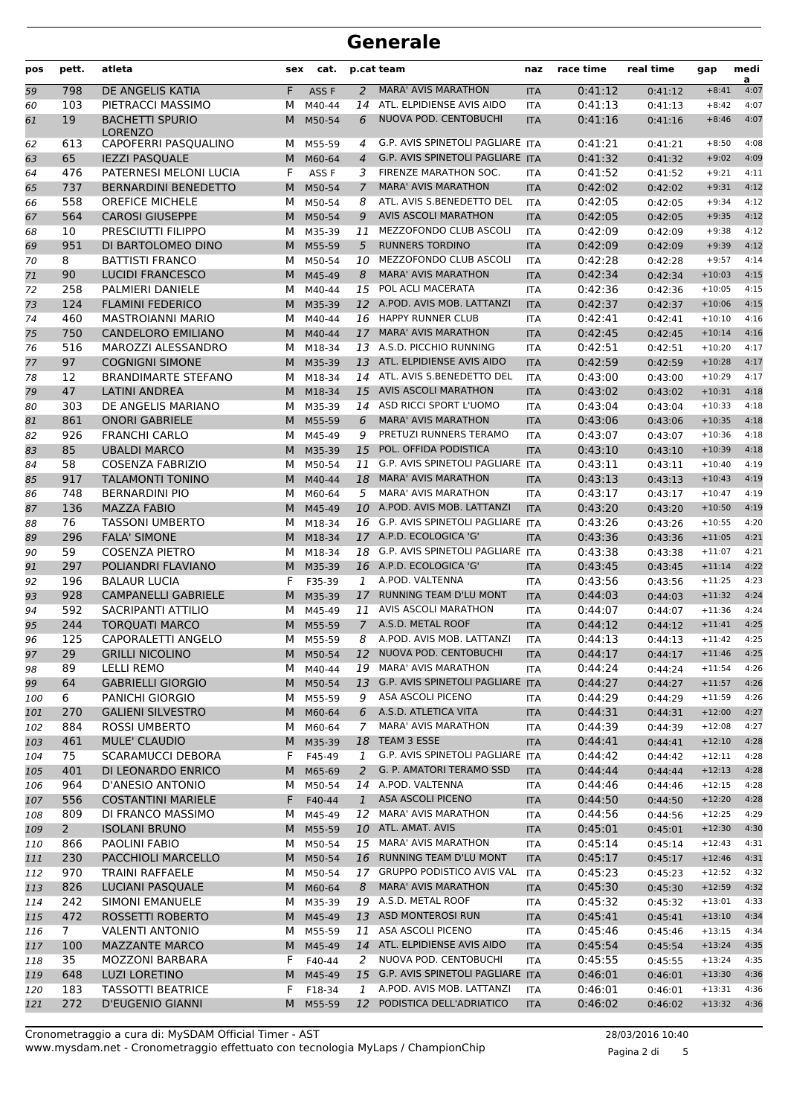| pos        | pett.          | atleta                                          | sex    | cat.             |                | p.cat team                                                     | naz                      | race time          | real time          | gap                  | medi<br>a    |
|------------|----------------|-------------------------------------------------|--------|------------------|----------------|----------------------------------------------------------------|--------------------------|--------------------|--------------------|----------------------|--------------|
| 59         | 798            | DE ANGELIS KATIA                                | F      | ASS <sub>F</sub> | 2              | <b>MARA' AVIS MARATHON</b>                                     | <b>ITA</b>               | 0:41:12            | 0:41:12            | $+8:41$              | 4:07         |
| 60         | 103            | PIETRACCI MASSIMO                               | м      | M40-44           | 14             | ATL. ELPIDIENSE AVIS AIDO                                      | <b>ITA</b>               | 0:41:13            | 0:41:13            | $+8:42$              | 4:07         |
| 61         | 19             | <b>BACHETTI SPURIO</b><br><b>LORENZO</b>        | M      | M50-54           | 6              | NUOVA POD. CENTOBUCHI                                          | <b>ITA</b>               | 0:41:16            | 0:41:16            | $+8:46$              | 4:07         |
| 62         | 613            | CAPOFERRI PASQUALINO                            | м      | M55-59           | 4              | G.P. AVIS SPINETOLI PAGLIARE ITA                               |                          | 0:41:21            | 0:41:21            | $+8:50$              | 4:08         |
| 63         | 65             | <b>IEZZI PASQUALE</b>                           | M      | M60-64           | $\overline{4}$ | G.P. AVIS SPINETOLI PAGLIARE ITA                               |                          | 0:41:32            | 0:41:32            | $+9:02$              | 4:09         |
| 64         | 476            | PATERNESI MELONI LUCIA                          | F      | ASS F            | 3              | FIRENZE MARATHON SOC.                                          | <b>ITA</b>               | 0:41:52            | 0:41:52            | $+9:21$              | 4:11         |
| 65         | 737            | <b>BERNARDINI BENEDETTO</b>                     | M      | M50-54           | 7              | <b>MARA' AVIS MARATHON</b>                                     | <b>ITA</b>               | 0:42:02            | 0:42:02            | $+9:31$              | 4:12         |
| 66         | 558            | <b>OREFICE MICHELE</b>                          | м      | M50-54           | 8              | ATL. AVIS S.BENEDETTO DEL                                      | <b>ITA</b>               | 0:42:05            | 0:42:05            | $+9:34$              | 4:12         |
| 67         | 564            | <b>CAROSI GIUSEPPE</b>                          | M      | M50-54           | 9              | <b>AVIS ASCOLI MARATHON</b>                                    | <b>ITA</b>               | 0:42:05            | 0:42:05            | $+9:35$              | 4:12         |
| 68         | 10             | PRESCIUTTI FILIPPO                              | м      | M35-39           | 11             | MEZZOFONDO CLUB ASCOLI                                         | ITA                      | 0:42:09            | 0:42:09            | $+9:38$              | 4:12         |
| 69         | 951            | DI BARTOLOMEO DINO                              | M      | M55-59           | 5              | <b>RUNNERS TORDINO</b>                                         | <b>ITA</b>               | 0:42:09            | 0:42:09            | $+9:39$              | 4:12         |
| 70         | 8              | <b>BATTISTI FRANCO</b>                          | м      | M50-54           | 10             | MEZZOFONDO CLUB ASCOLI                                         | <b>ITA</b>               | 0:42:28            | 0:42:28            | $+9:57$              | 4:14         |
| 71         | 90             | <b>LUCIDI FRANCESCO</b>                         | M      | M45-49           | 8              | <b>MARA' AVIS MARATHON</b>                                     | <b>ITA</b>               | 0:42:34            | 0:42:34            | $+10:03$             | 4:15         |
| 72         | 258            | PALMIERI DANIELE                                | м      | M40-44           | 15             | POL ACLI MACERATA                                              | <b>ITA</b>               | 0:42:36            | 0:42:36            | $+10:05$             | 4:15         |
| 73         | 124            | <b>FLAMINI FEDERICO</b>                         | M      | M35-39           |                | 12 A.POD. AVIS MOB. LATTANZI                                   | <b>ITA</b>               | 0:42:37            | 0:42:37            | $+10:06$<br>$+10:10$ | 4:15         |
| 74         | 460            | <b>MASTROIANNI MARIO</b>                        | м      | M40-44           | 16             | <b>HAPPY RUNNER CLUB</b><br><b>MARA' AVIS MARATHON</b>         | ITA                      | 0:42:41            | 0:42:41            |                      | 4:16<br>4:16 |
| 75         | 750<br>516     | <b>CANDELORO EMILIANO</b><br>MAROZZI ALESSANDRO | M<br>м | M40-44<br>M18-34 | 17<br>13       | A.S.D. PICCHIO RUNNING                                         | <b>ITA</b>               | 0:42:45<br>0:42:51 | 0:42:45            | $+10:14$<br>$+10:20$ | 4:17         |
| 76         | 97             | <b>COGNIGNI SIMONE</b>                          | M      | M35-39           | 13             | ATL. ELPIDIENSE AVIS AIDO                                      | <b>ITA</b>               | 0:42:59            | 0:42:51            | $+10:28$             | 4:17         |
| 77         |                |                                                 | м      | M18-34           | 14             | ATL. AVIS S.BENEDETTO DEL                                      | <b>ITA</b>               |                    | 0:42:59            | $+10:29$             | 4:17         |
| 78         | 12<br>47       | <b>BRANDIMARTE STEFANO</b>                      | M      |                  | 15             | <b>AVIS ASCOLI MARATHON</b>                                    | <b>ITA</b>               | 0:43:00            | 0:43:00            | $+10:31$             | 4:18         |
| 79         | 303            | <b>LATINI ANDREA</b><br>DE ANGELIS MARIANO      | м      | M18-34<br>M35-39 | 14             | ASD RICCI SPORT L'UOMO                                         | <b>ITA</b>               | 0:43:02<br>0:43:04 | 0:43:02            | $+10:33$             | 4:18         |
| 80<br>81   | 861            | <b>ONORI GABRIELE</b>                           | M      | M55-59           | 6              | <b>MARA' AVIS MARATHON</b>                                     | <b>ITA</b><br><b>ITA</b> | 0:43:06            | 0:43:04<br>0:43:06 | $+10:35$             | 4:18         |
| 82         | 926            | <b>FRANCHI CARLO</b>                            | м      | M45-49           | 9              | PRETUZI RUNNERS TERAMO                                         | <b>ITA</b>               | 0:43:07            | 0:43:07            | $+10:36$             | 4:18         |
| 83         | 85             | <b>UBALDI MARCO</b>                             | M      | M35-39           | 15             | POL. OFFIDA PODISTICA                                          | <b>ITA</b>               | 0:43:10            | 0:43:10            | $+10:39$             | 4:18         |
| 84         | 58             | <b>COSENZA FABRIZIO</b>                         | м      | M50-54           | 11             | G.P. AVIS SPINETOLI PAGLIARE ITA                               |                          | 0:43:11            | 0:43:11            | $+10:40$             | 4:19         |
| 85         | 917            | <b>TALAMONTI TONINO</b>                         | M      | M40-44           | 18             | <b>MARA' AVIS MARATHON</b>                                     | <b>ITA</b>               | 0:43:13            | 0:43:13            | $+10:43$             | 4:19         |
| 86         | 748            | <b>BERNARDINI PIO</b>                           | м      | M60-64           | 5              | <b>MARA' AVIS MARATHON</b>                                     | ITA                      | 0:43:17            | 0:43:17            | $+10:47$             | 4:19         |
| 87         | 136            | <b>MAZZA FABIO</b>                              | M      | M45-49           | 10             | A.POD. AVIS MOB. LATTANZI                                      | <b>ITA</b>               | 0:43:20            | 0:43:20            | $+10:50$             | 4:19         |
| 88         | 76             | <b>TASSONI UMBERTO</b>                          | м      | M18-34           | 16             | G.P. AVIS SPINETOLI PAGLIARE ITA                               |                          | 0:43:26            | 0:43:26            | $+10:55$             | 4:20         |
| 89         | 296            | <b>FALA' SIMONE</b>                             | M      | M18-34           |                | 17 A.P.D. ECOLOGICA 'G'                                        | <b>ITA</b>               | 0:43:36            | 0:43:36            | $+11:05$             | 4:21         |
| 90         | 59             | <b>COSENZA PIETRO</b>                           | м      | M18-34           | 18             | G.P. AVIS SPINETOLI PAGLIARE ITA                               |                          | 0:43:38            | 0:43:38            | $+11:07$             | 4:21         |
| 91         | 297            | POLIANDRI FLAVIANO                              | M      | M35-39           |                | 16 A.P.D. ECOLOGICA 'G'                                        | <b>ITA</b>               | 0:43:45            | 0:43:45            | $+11:14$             | 4:22         |
| 92         | 196            | <b>BALAUR LUCIA</b>                             | F      | F35-39           | 1              | A.POD. VALTENNA                                                | <b>ITA</b>               | 0:43:56            | 0:43:56            | $+11:25$             | 4:23         |
| 93         | 928            | <b>CAMPANELLI GABRIELE</b>                      | M      | M35-39           | 17             | <b>RUNNING TEAM D'LU MONT</b>                                  | <b>ITA</b>               | 0:44:03            | 0:44:03            | $+11:32$             | 4:24         |
| 94         | 592            | SACRIPANTI ATTILIO                              | M      | M45-49           | 11             | AVIS ASCOLI MARATHON                                           | <b>ITA</b>               | 0:44:07            | 0:44:07            | $+11:36$             | 4:24         |
| 95         | 244            | <b>TORQUATI MARCO</b>                           | M      | M55-59           | $\mathcal{I}$  | A.S.D. METAL ROOF                                              | <b>ITA</b>               | 0:44:12            | 0:44:12            | $+11:41$             | 4:25         |
| 96         | 125            | CAPORALETTI ANGELO                              | M      | M55-59           | 8              | A.POD. AVIS MOB. LATTANZI                                      | <b>ITA</b>               | 0:44:13            | 0:44:13            | $+11:42$             | 4:25         |
| 97         | 29             | <b>GRILLI NICOLINO</b>                          | M      | M50-54           |                | 12 NUOVA POD. CENTOBUCHI                                       | <b>ITA</b>               | 0:44:17            | 0:44:17            | $+11:46$             | 4:25         |
| 98         | 89             | LELLI REMO                                      | М      | M40-44           |                | 19 MARA' AVIS MARATHON                                         | ITA                      | 0:44:24            | 0:44:24            | $+11:54$             | 4:26         |
| 99         | 64             | <b>GABRIELLI GIORGIO</b>                        | M      | M50-54           | 13             | G.P. AVIS SPINETOLI PAGLIARE                                   | <b>ITA</b>               | 0:44:27            | 0:44:27            | $+11:57$             | 4:26         |
| 100        | 6              | <b>PANICHI GIORGIO</b>                          | м      | M55-59           | 9              | ASA ASCOLI PICENO                                              | ITA                      | 0:44:29            | 0:44:29            | $+11:59$             | 4:26         |
| 101        | 270            | <b>GALIENI SILVESTRO</b>                        | M      | M60-64           | 6              | A.S.D. ATLETICA VITA                                           | <b>ITA</b>               | 0:44:31            | 0:44:31            | $+12:00$             | 4:27         |
| 102        | 884            | <b>ROSSI UMBERTO</b>                            | м      | M60-64           | 7              | <b>MARA' AVIS MARATHON</b>                                     | ITA                      | 0:44:39            | 0:44:39            | $+12:08$             | 4:27         |
| 103        | 461            | <b>MULE' CLAUDIO</b>                            | M      | M35-39           | 18             | TEAM 3 ESSE                                                    | <b>ITA</b>               | 0:44:41            | 0:44:41            | $+12:10$             | 4:28         |
| 104        | 75             | <b>SCARAMUCCI DEBORA</b>                        | F.     | F45-49           | 1              | G.P. AVIS SPINETOLI PAGLIARE ITA                               |                          | 0:44:42            | 0:44:42            | $+12:11$             | 4:28         |
| 105        | 401            | DI LEONARDO ENRICO                              | M      | M65-69           | 2              | G. P. AMATORI TERAMO SSD                                       | <b>ITA</b>               | 0:44:44            | 0:44:44            | $+12:13$             | 4:28         |
| 106        | 964            | D'ANESIO ANTONIO                                | м      | M50-54           | 14             | A.POD. VALTENNA                                                | ITA                      | 0:44:46            | 0:44:46            | $+12:15$             | 4:28         |
| 107        | 556            | <b>COSTANTINI MARIELE</b>                       | F      | F40-44           | $\mathbf{1}$   | <b>ASA ASCOLI PICENO</b>                                       | <b>ITA</b>               | 0:44:50            | 0:44:50            | $+12:20$             | 4:28         |
| 108        | 809            | DI FRANCO MASSIMO                               | м      | M45-49           | 12             | <b>MARA' AVIS MARATHON</b>                                     | ITA                      | 0:44:56            | 0:44:56            | $+12:25$             | 4:29         |
| 109        | $2^{\circ}$    | <b>ISOLANI BRUNO</b>                            | M      | M55-59           | 10             | ATL. AMAT. AVIS                                                | <b>ITA</b>               | 0:45:01            | 0:45:01            | $+12:30$             | 4:30         |
| 110        | 866            | PAOLINI FABIO                                   | м      | M50-54           | 15             | <b>MARA' AVIS MARATHON</b>                                     | ITA                      | 0:45:14            | 0:45:14            | $+12:43$             | 4:31         |
| 111        | 230            | PACCHIOLI MARCELLO                              | M      | M50-54           | 16             | RUNNING TEAM D'LU MONT                                         | <b>ITA</b>               | 0:45:17            | 0:45:17            | $+12:46$             | 4:31         |
| 112        | 970            | <b>TRAINI RAFFAELE</b>                          | м      | M50-54           | 17             | <b>GRUPPO PODISTICO AVIS VAL</b><br><b>MARA' AVIS MARATHON</b> | ITA                      | 0:45:23            | 0:45:23            | $+12:52$             | 4:32         |
| 113        | 826            | <b>LUCIANI PASQUALE</b>                         | M      | M60-64           | 8              | A.S.D. METAL ROOF                                              | <b>ITA</b>               | 0:45:30            | 0:45:30            | $+12:59$             | 4:32<br>4:33 |
| 114        | 242<br>472     | SIMONI EMANUELE<br>ROSSETTI ROBERTO             | M      | M35-39<br>M45-49 | 19<br>13       | ASD MONTEROSI RUN                                              | ITA                      | 0:45:32<br>0:45:41 | 0:45:32            | $+13:01$<br>$+13:10$ | 4:34         |
| 115        | 7 <sup>1</sup> | <b>VALENTI ANTONIO</b>                          | M      | M55-59           | 11             | ASA ASCOLI PICENO                                              | <b>ITA</b>               | 0:45:46            | 0:45:41            | $+13:15$             | 4:34         |
| 116<br>117 | 100            | <b>MAZZANTE MARCO</b>                           | м<br>M | M45-49           | 14             | ATL. ELPIDIENSE AVIS AIDO                                      | ITA<br><b>ITA</b>        | 0:45:54            | 0:45:46<br>0:45:54 | $+13:24$             | 4:35         |
|            | 35             | <b>MOZZONI BARBARA</b>                          | F      | F40-44           | 2              | NUOVA POD. CENTOBUCHI                                          |                          | 0:45:55            |                    | $+13:24$             | 4:35         |
| 118<br>119 | 648            | <b>LUZI LORETINO</b>                            | M      | M45-49           | 15             | G.P. AVIS SPINETOLI PAGLIARE ITA                               | ITA                      | 0:46:01            | 0:45:55<br>0:46:01 | $+13:30$             | 4:36         |
| 120        | 183            | <b>TASSOTTI BEATRICE</b>                        | F      | F18-34           | 1              | A.POD. AVIS MOB. LATTANZI                                      | ITA                      | 0:46:01            | 0:46:01            | $+13:31$             | 4:36         |
| 121        | 272            | <b>D'EUGENIO GIANNI</b>                         | M      | M55-59           | 12             | PODISTICA DELL'ADRIATICO                                       | <b>ITA</b>               | 0:46:02            | 0:46:02            | $+13:32$             | 4:36         |
|            |                |                                                 |        |                  |                |                                                                |                          |                    |                    |                      |              |

Pagina 2 di 5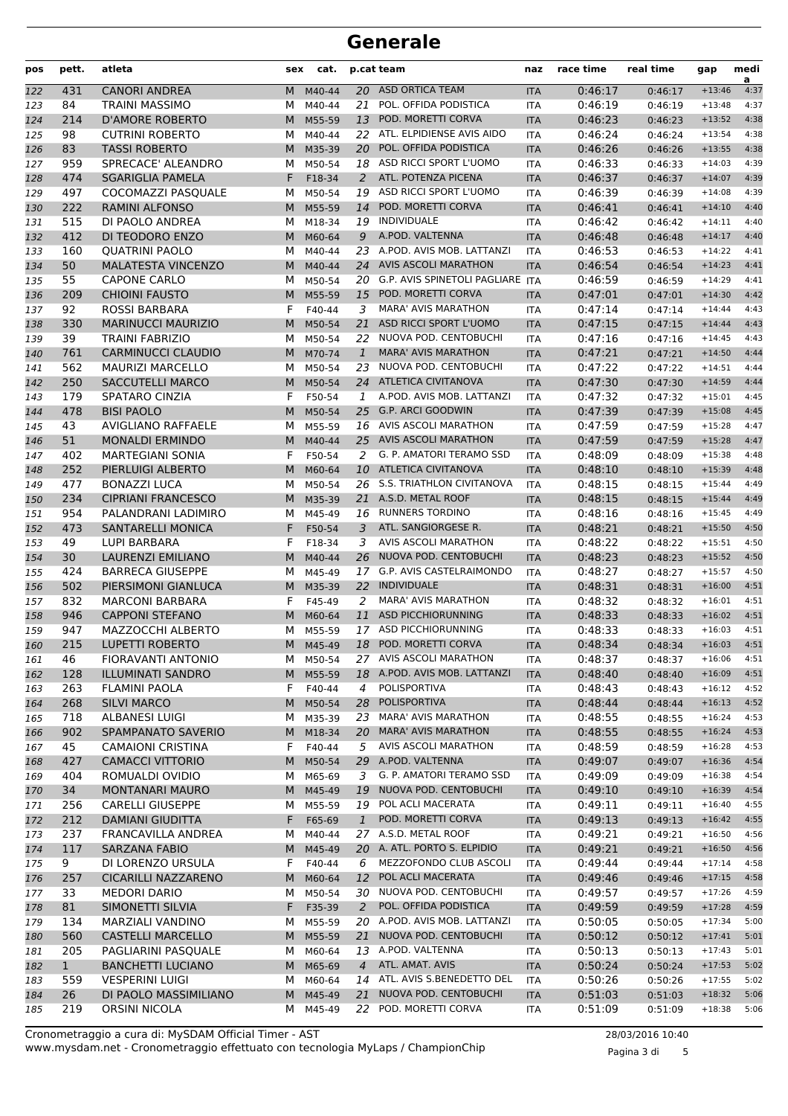| pos        | pett.        | atleta                                       | sex    | cat.             |                 | p.cat team                                   | naz                      | race time          | real time          | gap                  | medi<br>a    |
|------------|--------------|----------------------------------------------|--------|------------------|-----------------|----------------------------------------------|--------------------------|--------------------|--------------------|----------------------|--------------|
| 122        | 431          | <b>CANORI ANDREA</b>                         | М      | M40-44           | 20              | <b>ASD ORTICA TEAM</b>                       | <b>ITA</b>               | 0:46:17            | 0:46:17            | $+13:46$             | 4:37         |
| 123        | 84           | TRAINI MASSIMO                               | М      | M40-44           | 21              | POL. OFFIDA PODISTICA                        | <b>ITA</b>               | 0:46:19            | 0:46:19            | $+13:48$             | 4:37         |
| 124        | 214          | <b>D'AMORE ROBERTO</b>                       | M      | M55-59           | 13              | POD. MORETTI CORVA                           | <b>ITA</b>               | 0:46:23            | 0:46:23            | $+13:52$             | 4:38         |
| 125        | 98           | <b>CUTRINI ROBERTO</b>                       | м      | M40-44           | 22              | ATL. ELPIDIENSE AVIS AIDO                    | <b>ITA</b>               | 0:46:24            | 0:46:24            | $+13:54$             | 4:38         |
| 126        | 83           | <b>TASSI ROBERTO</b>                         | М      | M35-39           | 20              | POL. OFFIDA PODISTICA                        | <b>ITA</b>               | 0:46:26            | 0:46:26            | $+13:55$             | 4:38         |
| 127        | 959          | SPRECACE' ALEANDRO                           | м      | M50-54           |                 | 18 ASD RICCI SPORT L'UOMO                    | <b>ITA</b>               | 0:46:33            | 0:46:33            | $+14:03$             | 4:39         |
| 128        | 474          | <b>SGARIGLIA PAMELA</b>                      | F      | F18-34           | 2               | ATL. POTENZA PICENA                          | <b>ITA</b>               | 0:46:37            | 0:46:37            | $+14:07$             | 4:39         |
| 129        | 497          | COCOMAZZI PASOUALE                           | М      | M50-54           |                 | 19 ASD RICCI SPORT L'UOMO                    | <b>ITA</b>               | 0:46:39            | 0:46:39            | $+14:08$             | 4:39         |
| 130        | 222          | <b>RAMINI ALFONSO</b>                        | M      | M55-59           | 14              | POD. MORETTI CORVA                           | <b>ITA</b>               | 0:46:41            | 0:46:41            | $+14:10$             | 4:40         |
| 131        | 515          | DI PAOLO ANDREA                              | М      | M18-34           | 19              | <b>INDIVIDUALE</b>                           | <b>ITA</b>               | 0:46:42            | 0:46:42            | $+14:11$             | 4:40         |
| 132        | 412          | DI TEODORO ENZO                              | М      | M60-64           | 9               | A.POD. VALTENNA<br>A.POD. AVIS MOB. LATTANZI | <b>ITA</b>               | 0:46:48            | 0:46:48            | $+14:17$             | 4:40         |
| 133        | 160          | <b>QUATRINI PAOLO</b>                        | м      | M40-44           | 23              | <b>AVIS ASCOLI MARATHON</b>                  | <b>ITA</b>               | 0:46:53            | 0:46:53            | $+14:22$             | 4:41<br>4:41 |
| 134        | 50<br>55     | <b>MALATESTA VINCENZO</b>                    | M      | M40-44           | 24              | 20 G.P. AVIS SPINETOLI PAGLIARE ITA          | <b>ITA</b>               | 0:46:54<br>0:46:59 | 0:46:54            | $+14:23$             | 4:41         |
| 135        | 209          | <b>CAPONE CARLO</b><br><b>CHIOINI FAUSTO</b> | М<br>M | M50-54           | 15              | POD. MORETTI CORVA                           |                          | 0:47:01            | 0:46:59            | $+14:29$<br>$+14:30$ | 4:42         |
| 136        | 92           | <b>ROSSI BARBARA</b>                         | F      | M55-59<br>F40-44 | 3               | <b>MARA' AVIS MARATHON</b>                   | <b>ITA</b><br><b>ITA</b> | 0:47:14            | 0:47:01<br>0:47:14 | $+14:44$             | 4:43         |
| 137<br>138 | 330          | <b>MARINUCCI MAURIZIO</b>                    | M      | M50-54           | 21              | ASD RICCI SPORT L'UOMO                       | <b>ITA</b>               | 0:47:15            | 0:47:15            | $+14:44$             | 4:43         |
| 139        | 39           | <b>TRAINI FABRIZIO</b>                       | М      | M50-54           | 22              | NUOVA POD. CENTOBUCHI                        | <b>ITA</b>               | 0:47:16            | 0:47:16            | $+14:45$             | 4:43         |
| 140        | 761          | <b>CARMINUCCI CLAUDIO</b>                    | M      | M70-74           | $\mathbf{1}$    | <b>MARA' AVIS MARATHON</b>                   | <b>ITA</b>               | 0:47:21            | 0:47:21            | $+14:50$             | 4:44         |
| 141        | 562          | <b>MAURIZI MARCELLO</b>                      | М      | M50-54           |                 | 23 NUOVA POD. CENTOBUCHI                     | <b>ITA</b>               | 0:47:22            | 0:47:22            | $+14:51$             | 4:44         |
| 142        | 250          | <b>SACCUTELLI MARCO</b>                      | M      | M50-54           |                 | 24 ATLETICA CIVITANOVA                       | <b>ITA</b>               | 0:47:30            | 0:47:30            | $+14:59$             | 4:44         |
| 143        | 179          | SPATARO CINZIA                               | F      | F50-54           | 1               | A.POD. AVIS MOB. LATTANZI                    | <b>ITA</b>               | 0:47:32            | 0:47:32            | $+15:01$             | 4:45         |
| 144        | 478          | <b>BISI PAOLO</b>                            | M      | M50-54           | 25              | <b>G.P. ARCI GOODWIN</b>                     | <b>ITA</b>               | 0:47:39            | 0:47:39            | $+15:08$             | 4:45         |
| 145        | 43           | <b>AVIGLIANO RAFFAELE</b>                    | м      | M55-59           |                 | 16 AVIS ASCOLI MARATHON                      | <b>ITA</b>               | 0:47:59            | 0:47:59            | $+15:28$             | 4:47         |
| 146        | 51           | <b>MONALDI ERMINDO</b>                       | M      | M40-44           | 25 <sub>2</sub> | <b>AVIS ASCOLI MARATHON</b>                  | <b>ITA</b>               | 0:47:59            | 0:47:59            | $+15:28$             | 4:47         |
| 147        | 402          | <b>MARTEGIANI SONIA</b>                      | F      | F50-54           | 2               | G. P. AMATORI TERAMO SSD                     | ITA                      | 0:48:09            | 0:48:09            | $+15:38$             | 4:48         |
| 148        | 252          | PIERLUIGI ALBERTO                            | M      | M60-64           |                 | 10 ATLETICA CIVITANOVA                       | <b>ITA</b>               | 0:48:10            | 0:48:10            | $+15:39$             | 4:48         |
| 149        | 477          | <b>BONAZZI LUCA</b>                          | M      | M50-54           | 26              | S.S. TRIATHLON CIVITANOVA                    | <b>ITA</b>               | 0:48:15            | 0:48:15            | $+15:44$             | 4:49         |
| 150        | 234          | <b>CIPRIANI FRANCESCO</b>                    | М      | M35-39           | 21              | A.S.D. METAL ROOF                            | <b>ITA</b>               | 0:48:15            | 0:48:15            | $+15:44$             | 4:49         |
| 151        | 954          | PALANDRANI LADIMIRO                          | м      | M45-49           |                 | 16 RUNNERS TORDINO                           | <b>ITA</b>               | 0:48:16            | 0:48:16            | $+15:45$             | 4:49         |
| 152        | 473          | <b>SANTARELLI MONICA</b>                     | F      | F50-54           | 3               | ATL. SANGIORGESE R.                          | <b>ITA</b>               | 0:48:21            | 0:48:21            | $+15:50$             | 4:50         |
| 153        | 49           | <b>LUPI BARBARA</b>                          | F      | F18-34           | 3               | AVIS ASCOLI MARATHON                         | <b>ITA</b>               | 0:48:22            | 0:48:22            | $+15:51$             | 4:50         |
| 154        | 30           | LAURENZI EMILIANO                            | M      | M40-44           | 26              | NUOVA POD. CENTOBUCHI                        | <b>ITA</b>               | 0:48:23            | 0:48:23            | $+15:52$             | 4:50         |
| 155        | 424          | <b>BARRECA GIUSEPPE</b>                      | м      | M45-49           | 17              | G.P. AVIS CASTELRAIMONDO                     | ITA                      | 0:48:27            | 0:48:27            | $+15:57$             | 4:50         |
| 156        | 502          | PIERSIMONI GIANLUCA                          | M      | M35-39           | 22              | <b>INDIVIDUALE</b>                           | <b>ITA</b>               | 0:48:31            | 0:48:31            | $+16:00$             | 4:51         |
| 157        | 832          | <b>MARCONI BARBARA</b>                       | F      | F45-49           | 2               | <b>MARA' AVIS MARATHON</b>                   | <b>ITA</b>               | 0:48:32            | 0:48:32            | $+16:01$             | 4:51         |
| 158        | 946          | <b>CAPPONI STEFANO</b>                       | M      | M60-64           | 11              | <b>ASD PICCHIORUNNING</b>                    | <b>ITA</b>               | 0:48:33            | 0:48:33            | $+16:02$             | 4:51         |
| 159        | 947          | <b>MAZZOCCHI ALBERTO</b>                     | М      | M55-59           | 17              | ASD PICCHIORUNNING                           | <b>ITA</b>               | 0:48:33            | 0:48:33            | $+16:03$             | 4:51         |
| 160        | 215          | <b>LUPETTI ROBERTO</b>                       | M      | M45-49           | 18              | POD. MORETTI CORVA                           | <b>ITA</b>               | 0:48:34            | 0:48:34            | $+16:03$             | 4:51         |
| 161        | 46           | FIORAVANTI ANTONIO                           | M      | M50-54           |                 | 27 AVIS ASCOLI MARATHON                      | ITA                      | 0:48:37            | 0:48:37            | $+16:06$             | 4:51         |
| 162        | 128          | <b>ILLUMINATI SANDRO</b>                     | M      | M55-59           |                 | 18 A.POD. AVIS MOB. LATTANZI                 | <b>ITA</b>               | 0:48:40            | 0:48:40            | $+16:09$             | 4:51         |
| 163        | 263          | <b>FLAMINI PAOLA</b>                         | F      | F40-44           | 4               | POLISPORTIVA                                 | ITA                      | 0:48:43            | 0:48:43            | $+16:12$             | 4:52         |
| 164        | 268<br>718   | <b>SILVI MARCO</b><br>ALBANESI LUIGI         | M      | M50-54<br>M35-39 | 28              | POLISPORTIVA<br>23 MARA' AVIS MARATHON       | <b>ITA</b>               | 0:48:44<br>0:48:55 | 0:48:44            | $+16:13$<br>$+16:24$ | 4:52<br>4:53 |
| 165        | 902          | SPAMPANATO SAVERIO                           | м      | M18-34           |                 | 20 MARA' AVIS MARATHON                       | ITA                      | 0:48:55            | 0:48:55            | $+16:24$             | 4:53         |
| 166<br>167 | 45           | <b>CAMAIONI CRISTINA</b>                     | M<br>F | F40-44           | 5               | AVIS ASCOLI MARATHON                         | <b>ITA</b><br>ITA        | 0:48:59            | 0:48:55<br>0:48:59 | $+16:28$             | 4:53         |
| 168        | 427          | <b>CAMACCI VITTORIO</b>                      | M      | M50-54           | 29              | A.POD. VALTENNA                              | <b>ITA</b>               | 0:49:07            | 0:49:07            | $+16:36$             | 4:54         |
| 169        | 404          | ROMUALDI OVIDIO                              | м      | M65-69           | 3               | G. P. AMATORI TERAMO SSD                     | ITA                      | 0:49:09            | 0:49:09            | $+16:38$             | 4:54         |
| 170        | 34           | <b>MONTANARI MAURO</b>                       | M      | M45-49           | 19              | NUOVA POD. CENTOBUCHI                        | <b>ITA</b>               | 0:49:10            | 0:49:10            | $+16:39$             | 4:54         |
| 171        | 256          | <b>CARELLI GIUSEPPE</b>                      | м      | M55-59           |                 | 19 POL ACLI MACERATA                         | <b>ITA</b>               | 0:49:11            | 0:49:11            | $+16:40$             | 4:55         |
| 172        | 212          | <b>DAMIANI GIUDITTA</b>                      | F      | F65-69           | $\mathbf{1}$    | POD. MORETTI CORVA                           | <b>ITA</b>               | 0:49:13            | 0:49:13            | $+16:42$             | 4:55         |
| 173        | 237          | FRANCAVILLA ANDREA                           | М      | M40-44           |                 | 27 A.S.D. METAL ROOF                         | ITA                      | 0:49:21            | 0:49:21            | $+16:50$             | 4:56         |
| 174        | 117          | <b>SARZANA FABIO</b>                         |        | M M45-49         |                 | 20 A. ATL. PORTO S. ELPIDIO                  | <b>ITA</b>               | 0:49:21            | 0:49:21            | $+16:50$             | 4:56         |
| 175        | 9            | DI LORENZO URSULA                            | F      | F40-44           | 6               | MEZZOFONDO CLUB ASCOLI                       | <b>ITA</b>               | 0:49:44            | 0:49:44            | $+17:14$             | 4:58         |
| 176        | 257          | <b>CICARILLI NAZZARENO</b>                   | M      | M60-64           | 12              | POL ACLI MACERATA                            | <b>ITA</b>               | 0:49:46            | 0:49:46            | $+17:15$             | 4:58         |
| 177        | 33           | <b>MEDORI DARIO</b>                          | М      | M50-54           |                 | 30 NUOVA POD. CENTOBUCHI                     | <b>ITA</b>               | 0:49:57            | 0:49:57            | $+17:26$             | 4:59         |
| 178        | 81           | SIMONETTI SILVIA                             | F      | F35-39           | $\mathbf{2}$    | POL. OFFIDA PODISTICA                        | <b>ITA</b>               | 0:49:59            | 0:49:59            | $+17:28$             | 4:59         |
| 179        | 134          | MARZIALI VANDINO                             | М      | M55-59           |                 | 20 A.POD. AVIS MOB. LATTANZI                 | ITA                      | 0:50:05            | 0:50:05            | $+17:34$             | 5:00         |
| 180        | 560          | <b>CASTELLI MARCELLO</b>                     | M      | M55-59           | 21              | NUOVA POD. CENTOBUCHI                        | <b>ITA</b>               | 0:50:12            | 0:50:12            | $+17:41$             | 5:01         |
| 181        | 205          | PAGLIARINI PASQUALE                          | м      | M60-64           |                 | 13 A.POD. VALTENNA                           | ITA                      | 0:50:13            | 0:50:13            | $+17:43$             | 5:01         |
| 182        | $\mathbf{1}$ | <b>BANCHETTI LUCIANO</b>                     | M      | M65-69           | $\overline{4}$  | ATL. AMAT. AVIS                              | <b>ITA</b>               | 0:50:24            | 0:50:24            | $+17:53$             | 5:02         |
| 183        | 559          | <b>VESPERINI LUIGI</b>                       | м      | M60-64           |                 | 14 ATL. AVIS S.BENEDETTO DEL                 | <b>ITA</b>               | 0:50:26            | 0:50:26            | $+17:55$             | 5:02         |
| 184        | 26           | DI PAOLO MASSIMILIANO                        | M      | M45-49           | 21              | NUOVA POD. CENTOBUCHI                        | <b>ITA</b>               | 0:51:03            | 0:51:03            | $+18:32$             | 5:06         |
| 185        | 219          | ORSINI NICOLA                                | M      | M45-49           |                 | 22 POD. MORETTI CORVA                        | ITA                      | 0:51:09            | 0:51:09            | $+18:38$             | 5:06         |

Pagina 3 di 5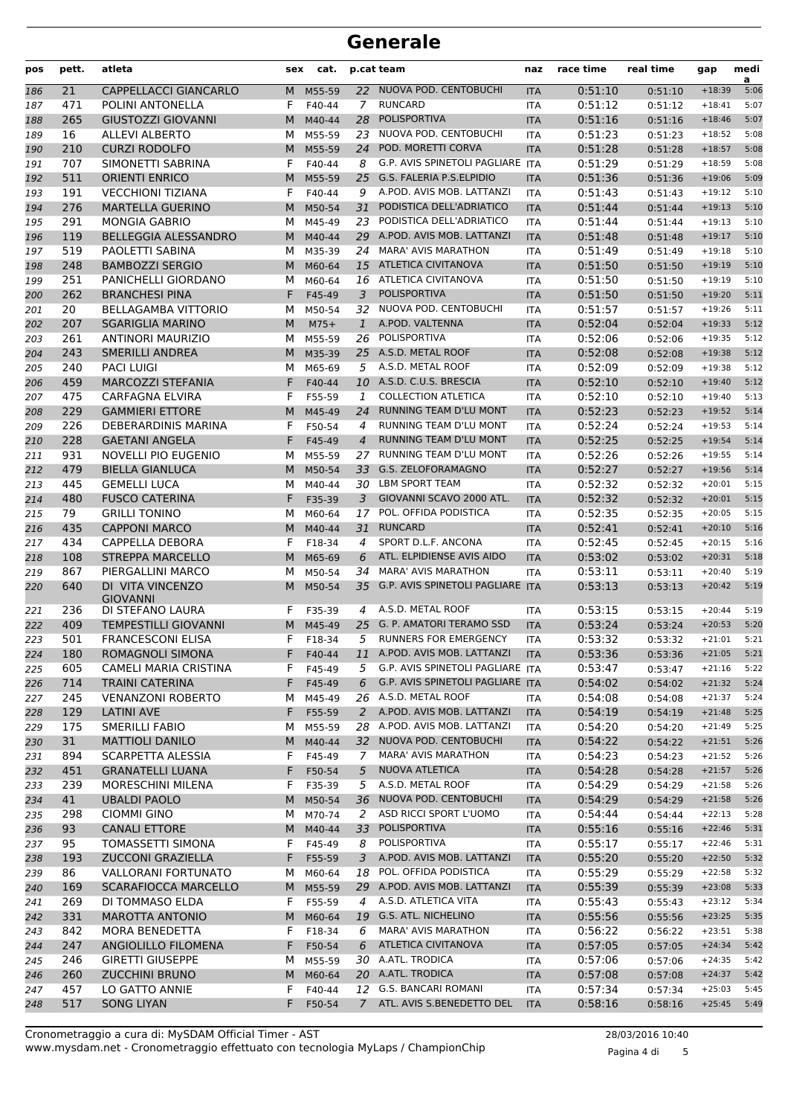| pos | pett. | atleta                              | sex    | cat.     |                | p.cat team                          | naz        | race time | real time | gap           | medi<br>a |
|-----|-------|-------------------------------------|--------|----------|----------------|-------------------------------------|------------|-----------|-----------|---------------|-----------|
| 186 | 21    | CAPPELLACCI GIANCARLO               | M      | M55-59   |                | 22 NUOVA POD. CENTOBUCHI            | <b>ITA</b> | 0:51:10   | 0:51:10   | $+18:39$      | 5:06      |
| 187 | 471   | POLINI ANTONELLA                    | F      | F40-44   | $\mathcal{I}$  | <b>RUNCARD</b>                      | <b>ITA</b> | 0:51:12   | 0:51:12   | $+18:41$      | 5:07      |
| 188 | 265   | <b>GIUSTOZZI GIOVANNI</b>           | M      | M40-44   | 28             | <b>POLISPORTIVA</b>                 | <b>ITA</b> | 0:51:16   | 0:51:16   | $+18:46$      | 5:07      |
| 189 | 16    | <b>ALLEVI ALBERTO</b>               | м      | M55-59   | 23             | NUOVA POD. CENTOBUCHI               | <b>ITA</b> | 0:51:23   | 0:51:23   | $+18:52$      | 5:08      |
| 190 | 210   | <b>CURZI RODOLFO</b>                | M      | M55-59   | 24             | POD. MORETTI CORVA                  | <b>ITA</b> | 0:51:28   | 0:51:28   | $+18:57$      | 5:08      |
| 191 | 707   | SIMONETTI SABRINA                   | F      | F40-44   | 8              | G.P. AVIS SPINETOLI PAGLIARE ITA    |            | 0:51:29   | 0:51:29   | $+18:59$      | 5:08      |
| 192 | 511   | <b>ORIENTI ENRICO</b>               | M      | M55-59   | 25             | G.S. FALERIA P.S.ELPIDIO            | <b>ITA</b> | 0:51:36   | 0:51:36   | $+19:06$      | 5:09      |
| 193 | 191   | <b>VECCHIONI TIZIANA</b>            | F      | F40-44   | 9              | A.POD. AVIS MOB. LATTANZI           | <b>ITA</b> | 0:51:43   | 0:51:43   | $+19:12$      | 5:10      |
| 194 | 276   | <b>MARTELLA GUERINO</b>             | M      | M50-54   | 31             | PODISTICA DELL'ADRIATICO            | <b>ITA</b> | 0:51:44   | 0:51:44   | $+19:13$      | 5:10      |
| 195 | 291   | <b>MONGIA GABRIO</b>                | М      | M45-49   | 23             | PODISTICA DELL'ADRIATICO            | <b>ITA</b> | 0:51:44   | 0:51:44   | $+19:13$      | 5:10      |
| 196 | 119   | <b>BELLEGGIA ALESSANDRO</b>         | M      | M40-44   | 29             | A.POD. AVIS MOB. LATTANZI           | <b>ITA</b> | 0:51:48   | 0:51:48   | $+19:17$      | 5:10      |
| 197 | 519   | PAOLETTI SABINA                     | м      | M35-39   | 24             | <b>MARA' AVIS MARATHON</b>          | <b>ITA</b> | 0:51:49   | 0:51:49   | $+19:18$      | 5:10      |
| 198 | 248   | <b>BAMBOZZI SERGIO</b>              | M      | M60-64   |                | 15 ATLETICA CIVITANOVA              | <b>ITA</b> | 0:51:50   | 0:51:50   | $+19:19$      | 5:10      |
| 199 | 251   | PANICHELLI GIORDANO                 | м      | M60-64   |                | 16 ATLETICA CIVITANOVA              | <b>ITA</b> | 0:51:50   | 0:51:50   | $+19:19$      | 5:10      |
| 200 | 262   | <b>BRANCHESI PINA</b>               | F      | F45-49   | 3              | <b>POLISPORTIVA</b>                 | <b>ITA</b> | 0:51:50   | 0:51:50   | $+19:20$      | 5:11      |
| 201 | 20    | <b>BELLAGAMBA VITTORIO</b>          | М      | M50-54   | 32             | NUOVA POD. CENTOBUCHI               | <b>ITA</b> | 0:51:57   | 0:51:57   | $+19:26$      | 5:11      |
| 202 | 207   | <b>SGARIGLIA MARINO</b>             | M      | $M75+$   | 1              | A.POD. VALTENNA                     | <b>ITA</b> | 0:52:04   | 0:52:04   | $+19:33$      | 5:12      |
| 203 | 261   | <b>ANTINORI MAURIZIO</b>            | м      | M55-59   | 26             | POLISPORTIVA                        | <b>ITA</b> | 0:52:06   | 0:52:06   | $+19:35$      | 5:12      |
| 204 | 243   | <b>SMERILLI ANDREA</b>              | M      | M35-39   |                | 25 A.S.D. METAL ROOF                | <b>ITA</b> | 0:52:08   | 0:52:08   | $+19:38$      | 5:12      |
| 205 | 240   | <b>PACI LUIGI</b>                   | м      | M65-69   | 5              | A.S.D. METAL ROOF                   | <b>ITA</b> | 0:52:09   | 0:52:09   | $+19:38$      | 5:12      |
| 206 | 459   | <b>MARCOZZI STEFANIA</b>            | F      | F40-44   |                | 10 A.S.D. C.U.S. BRESCIA            | <b>ITA</b> | 0:52:10   | 0:52:10   | $+19:40$      | 5:12      |
| 207 | 475   | <b>CARFAGNA ELVIRA</b>              | F      | F55-59   | 1              | <b>COLLECTION ATLETICA</b>          | <b>ITA</b> | 0:52:10   | 0:52:10   | $+19:40$      | 5:13      |
| 208 | 229   | <b>GAMMIERI ETTORE</b>              | M      | M45-49   | 24             | RUNNING TEAM D'LU MONT              | <b>ITA</b> | 0:52:23   | 0:52:23   | $+19:52$      | 5:14      |
| 209 | 226   | DEBERARDINIS MARINA                 | F      | F50-54   | 4              | RUNNING TEAM D'LU MONT              | <b>ITA</b> | 0:52:24   | 0:52:24   | $+19:53$      | 5:14      |
| 210 | 228   | <b>GAETANI ANGELA</b>               | F      | F45-49   | $\overline{4}$ | RUNNING TEAM D'LU MONT              | <b>ITA</b> | 0:52:25   | 0:52:25   | $+19:54$      | 5:14      |
| 211 | 931   | NOVELLI PIO EUGENIO                 | м      | M55-59   | 27             | RUNNING TEAM D'LU MONT              | <b>ITA</b> | 0:52:26   | 0:52:26   | $+19:55$      | 5:14      |
| 212 | 479   | <b>BIELLA GIANLUCA</b>              | M      | M50-54   |                | 33 G.S. ZELOFORAMAGNO               | <b>ITA</b> | 0:52:27   | 0:52:27   | $+19:56$      | 5:14      |
| 213 | 445   | <b>GEMELLI LUCA</b>                 | м      | M40-44   | 30             | LBM SPORT TEAM                      | <b>ITA</b> | 0:52:32   | 0:52:32   | $+20:01$      | 5:15      |
| 214 | 480   | <b>FUSCO CATERINA</b>               | F      | F35-39   | 3              | GIOVANNI SCAVO 2000 ATL.            | <b>ITA</b> | 0:52:32   |           | $+20:01$      | 5:15      |
|     | 79    | <b>GRILLI TONINO</b>                | м      | M60-64   | 17             | POL. OFFIDA PODISTICA               | <b>ITA</b> | 0:52:35   | 0:52:32   | $+20:05$      | 5:15      |
| 215 | 435   | <b>CAPPONI MARCO</b>                |        |          | 31             | <b>RUNCARD</b>                      |            | 0:52:41   | 0:52:35   | $+20:10$      | 5:16      |
| 216 | 434   | CAPPELLA DEBORA                     | M      | M40-44   | 4              | SPORT D.L.F. ANCONA                 | <b>ITA</b> | 0:52:45   | 0:52:41   | $+20:15$      | 5:16      |
| 217 |       | <b>STREPPA MARCELLO</b>             | F      | F18-34   |                | ATL. ELPIDIENSE AVIS AIDO           | <b>ITA</b> | 0:53:02   | 0:52:45   |               | 5:18      |
| 218 | 108   |                                     | M      | M65-69   | 6              | <b>MARA' AVIS MARATHON</b>          | <b>ITA</b> |           | 0:53:02   | $+20:31$      |           |
| 219 | 867   | PIERGALLINI MARCO                   | м      | M50-54   | 34             |                                     | <b>ITA</b> | 0:53:11   | 0:53:11   | $+20:40$      | 5:19      |
| 220 | 640   | DI VITA VINCENZO<br><b>GIOVANNI</b> | M      | M50-54   |                | 35 G.P. AVIS SPINETOLI PAGLIARE ITA |            | 0:53:13   | 0:53:13   | $+20:42$      | 5:19      |
| 221 | 236   | DI STEFANO LAURA                    | F.     | F35-39   | 4              | A.S.D. METAL ROOF                   | <b>ITA</b> | 0:53:15   | 0:53:15   | $+20:44$      | 5:19      |
| 222 | 409   | <b>TEMPESTILLI GIOVANNI</b>         | M      | M45-49   | 25             | G. P. AMATORI TERAMO SSD            | <b>ITA</b> | 0:53:24   | 0:53:24   | $+20:53$      | 5:20      |
| 223 | 501   | <b>FRANCESCONI ELISA</b>            | F      | F18-34   | 5              | RUNNERS FOR EMERGENCY               | <b>ITA</b> | 0:53:32   | 0:53:32   | $+21:01$      | 5:21      |
| 224 | 180   | ROMAGNOLI SIMONA                    |        | F F40-44 |                | 11 A.POD. AVIS MOB. LATTANZI        | <b>ITA</b> | 0:53:36   | 0:53:36   | $+21:05$ 5:21 |           |
| 225 | 605   | <b>CAMELI MARIA CRISTINA</b>        | F      | F45-49   |                | 5 G.P. AVIS SPINETOLI PAGLIARE ITA  |            | 0:53:47   | 0:53:47   | $+21:16$      | 5:22      |
| 226 | 714   | <b>TRAINI CATERINA</b>              | F.     | F45-49   | 6              | G.P. AVIS SPINETOLI PAGLIARE ITA    |            | 0:54:02   | 0:54:02   | $+21:32$      | 5:24      |
| 227 | 245   | <b>VENANZONI ROBERTO</b>            | M      | M45-49   |                | 26 A.S.D. METAL ROOF                | ITA.       | 0:54:08   | 0:54:08   | $+21:37$      | 5:24      |
| 228 | 129   | <b>LATINI AVE</b>                   | F.     | F55-59   | 2              | A.POD. AVIS MOB. LATTANZI           | <b>ITA</b> | 0:54:19   | 0:54:19   | $+21:48$      | 5:25      |
| 229 | 175   | <b>SMERILLI FABIO</b>               | м      | M55-59   |                | 28 A.POD. AVIS MOB. LATTANZI        | ITA        | 0:54:20   | 0:54:20   | $+21:49$      | 5:25      |
| 230 | 31    | <b>MATTIOLI DANILO</b>              |        | M M40-44 |                | 32 NUOVA POD. CENTOBUCHI            | <b>ITA</b> | 0:54:22   | 0:54:22   | $+21:51$      | 5:26      |
| 231 | 894   | SCARPETTA ALESSIA                   | F      | F45-49   | $\overline{7}$ | <b>MARA' AVIS MARATHON</b>          | ITA        | 0:54:23   | 0:54:23   | $+21:52$      | 5:26      |
| 232 | 451   | <b>GRANATELLI LUANA</b>             | F.     | F50-54   | 5              | <b>NUOVA ATLETICA</b>               | <b>ITA</b> | 0:54:28   | 0:54:28   | $+21:57$      | 5:26      |
| 233 | 239   | MORESCHINI MILENA                   | F.     | F35-39   | 5              | A.S.D. METAL ROOF                   | ITA        | 0:54:29   | 0:54:29   | $+21:58$      | 5:26      |
| 234 | 41    | <b>UBALDI PAOLO</b>                 | M      | M50-54   | 36             | NUOVA POD. CENTOBUCHI               | <b>ITA</b> | 0:54:29   | 0:54:29   | $+21:58$      | 5:26      |
| 235 | 298   | <b>CIOMMI GINO</b>                  | м      | M70-74   | 2              | ASD RICCI SPORT L'UOMO              | ITA        | 0:54:44   | 0:54:44   | $+22:13$      | 5:28      |
| 236 | 93    | <b>CANALI ETTORE</b>                |        | M M40-44 | 33             | POLISPORTIVA                        | <b>ITA</b> | 0:55:16   | 0:55:16   | $+22:46$      | 5:31      |
| 237 | 95    | TOMASSETTI SIMONA                   | F      | F45-49   | 8              | POLISPORTIVA                        | ITA        | 0:55:17   | 0:55:17   | $+22:46$      | 5:31      |
| 238 | 193   | <b>ZUCCONI GRAZIELLA</b>            | F.     | F55-59   | 3              | A.POD. AVIS MOB. LATTANZI           | <b>ITA</b> | 0:55:20   | 0:55:20   | $+22:50$      | 5:32      |
| 239 | 86    | <b>VALLORANI FORTUNATO</b>          | м      | M60-64   | 18             | POL. OFFIDA PODISTICA               | ITA        | 0:55:29   | 0:55:29   | $+22:58$      | 5:32      |
| 240 | 169   | <b>SCARAFIOCCA MARCELLO</b>         |        | M M55-59 |                | 29 A.POD. AVIS MOB. LATTANZI        | <b>ITA</b> | 0:55:39   | 0:55:39   | $+23:08$      | 5:33      |
| 241 | 269   | DI TOMMASO ELDA                     | F.     | F55-59   | 4              | A.S.D. ATLETICA VITA                | ITA        | 0:55:43   | 0:55:43   | $+23:12$      | 5:34      |
| 242 | 331   | <b>MAROTTA ANTONIO</b>              |        | M M60-64 |                | 19 G.S. ATL. NICHELINO              | <b>ITA</b> | 0:55:56   | 0:55:56   | $+23:25$      | 5:35      |
| 243 | 842   | <b>MORA BENEDETTA</b>               | F      | F18-34   | 6              | <b>MARA' AVIS MARATHON</b>          | ITA        | 0:56:22   | 0:56:22   | $+23:51$      | 5:38      |
| 244 | 247   | ANGIOLILLO FILOMENA                 | F.     | F50-54   | 6              | <b>ATLETICA CIVITANOVA</b>          | <b>ITA</b> | 0:57:05   | 0:57:05   | $+24:34$      | 5:42      |
|     | 246   | <b>GIRETTI GIUSEPPE</b>             | м      | M55-59   |                | 30 A.ATL. TRODICA                   |            | 0:57:06   |           | $+24:35$      | 5:42      |
| 245 | 260   | <b>ZUCCHINI BRUNO</b>               |        | M60-64   |                | 20 A.ATL. TRODICA                   | ITA        | 0:57:08   | 0:57:06   | $+24:37$      | 5:42      |
| 246 | 457   | LO GATTO ANNIE                      | M<br>F | F40-44   |                | 12 G.S. BANCARI ROMANI              | <b>ITA</b> | 0:57:34   | 0:57:08   | $+25:03$      | 5:45      |
| 247 | 517   | <b>SONG LIYAN</b>                   |        |          |                | 7 ATL. AVIS S.BENEDETTO DEL         | ITA        |           | 0:57:34   |               | 5:49      |
| 248 |       |                                     | F,     | F50-54   |                |                                     | <b>ITA</b> | 0:58:16   | 0:58:16   | $+25:45$      |           |

Pagina 4 di 5